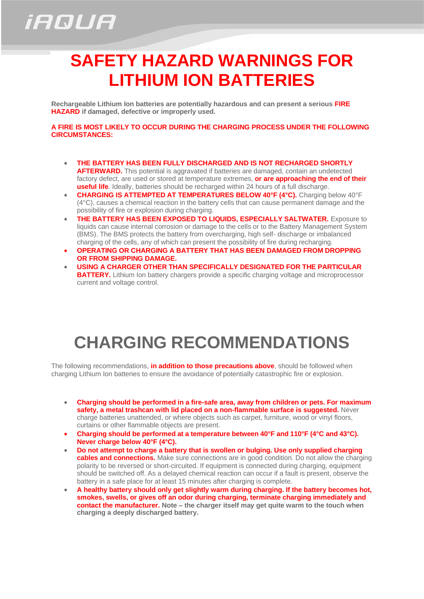## *iAQUA*

## **SAFETY HAZARD WARNINGS FOR LITHIUM ION BATTERIES**

**Rechargeable Lithium Ion batteries are potentially hazardous and can present a serious FIRE HAZARD if damaged, defective or improperly used.**

**A FIRE IS MOST LIKELY TO OCCUR DURING THE CHARGING PROCESS UNDER THE FOLLOWING CIRCUMSTANCES:**

- **THE BATTERY HAS BEEN FULLY DISCHARGED AND IS NOT RECHARGED SHORTLY AFTERWARD.** This potential is aggravated if batteries are damaged, contain an undetected factory defect, are used or stored at temperature extremes, **or are approaching the end of their useful life**. Ideally, batteries should be recharged within 24 hours of a full discharge.
- **CHARGING IS ATTEMPTED AT TEMPERATURES BELOW 40°F (4°C).** Charging below 40°F (4°C), causes a chemical reaction in the battery cells that can cause permanent damage and the possibility of fire or explosion during charging.
- **THE BATTERY HAS BEEN EXPOSED TO LIQUIDS, ESPECIALLY SALTWATER.** Exposure to liquids can cause internal corrosion or damage to the cells or to the Battery Management System (BMS). The BMS protects the battery from overcharging, high self- discharge or imbalanced charging of the cells, any of which can present the possibility of fire during recharging.
- **OPERATING OR CHARGING A BATTERY THAT HAS BEEN DAMAGED FROM DROPPING OR FROM SHIPPING DAMAGE.**
- **USING A CHARGER OTHER THAN SPECIFICALLY DESIGNATED FOR THE PARTICULAR BATTERY.** Lithium Ion battery chargers provide a specific charging voltage and microprocessor current and voltage control.

## **CHARGING RECOMMENDATIONS**

The following recommendations, **in addition to those precautions above**, should be followed when charging Lithium Ion batteries to ensure the avoidance of potentially catastrophic fire or explosion.

- **Charging should be performed in a fire-safe area, away from children or pets. For maximum** safety, a metal trashcan with lid placed on a non-flammable surface is suggested. Never charge batteries unattended, or where objects such as carpet, furniture, wood or vinyl floors, curtains or other flammable objects are present.
- **Charging should be performed at a temperature between 40°F and 110°F (4°C and 43°C). Never charge below 40°F (4°C).**
- **Do not attempt to charge a battery that is swollen or bulging. Use only supplied charging cables and connections.** Make sure connections are in good condition. Do not allow the charging polarity to be reversed or short-circuited. If equipment is connected during charging, equipment should be switched off. As a delayed chemical reaction can occur if a fault is present, observe the battery in a safe place for at least 15 minutes after charging is complete.
- **A healthy battery should only get slightly warm during charging. If the battery becomes hot, smokes, swells, or gives off an odor during charging, terminate charging immediately and contact the manufacturer. Note – the charger itself may get quite warm to the touch when charging a deeply discharged battery.**